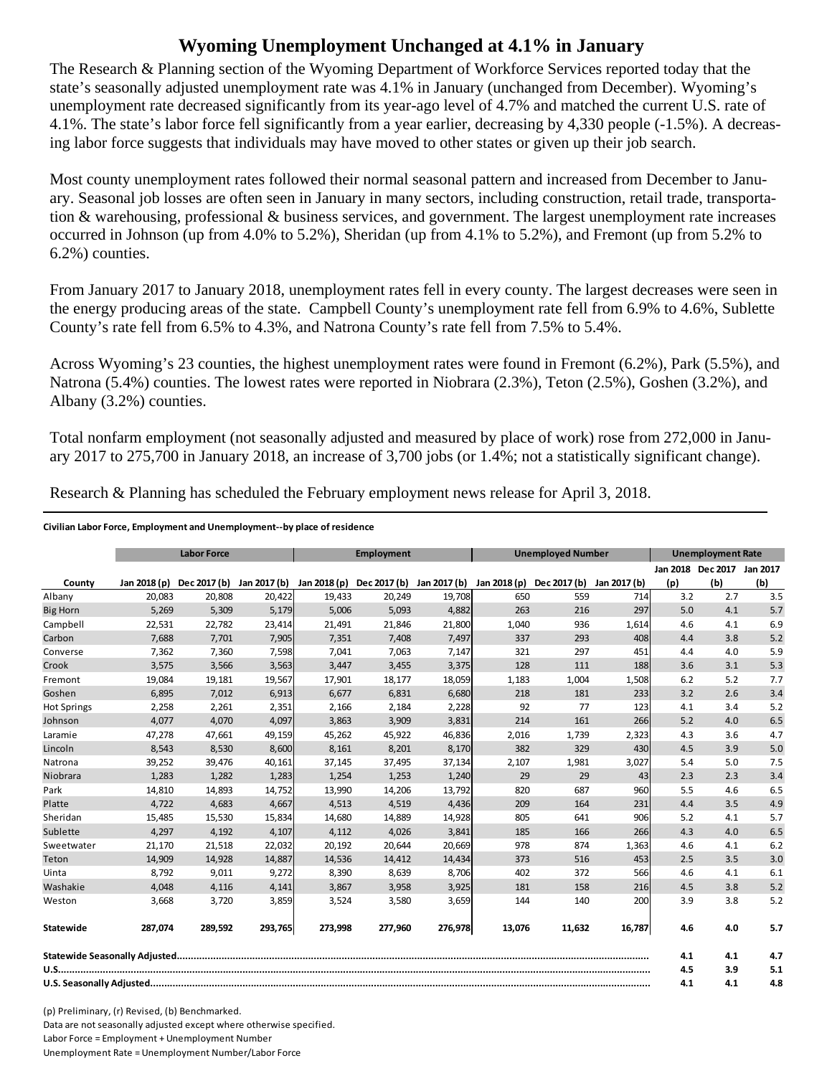## **Wyoming Unemployment Unchanged at 4.1% in January**

The Research & Planning section of the Wyoming Department of Workforce Services reported today that the state's seasonally adjusted unemployment rate was 4.1% in January (unchanged from December). Wyoming's unemployment rate decreased significantly from its year-ago level of 4.7% and matched the current U.S. rate of 4.1%. The state's labor force fell significantly from a year earlier, decreasing by 4,330 people (-1.5%). A decreasing labor force suggests that individuals may have moved to other states or given up their job search.

Most county unemployment rates followed their normal seasonal pattern and increased from December to January. Seasonal job losses are often seen in January in many sectors, including construction, retail trade, transportation & warehousing, professional & business services, and government. The largest unemployment rate increases occurred in Johnson (up from 4.0% to 5.2%), Sheridan (up from 4.1% to 5.2%), and Fremont (up from 5.2% to 6.2%) counties.

From January 2017 to January 2018, unemployment rates fell in every county. The largest decreases were seen in the energy producing areas of the state. Campbell County's unemployment rate fell from 6.9% to 4.6%, Sublette County's rate fell from 6.5% to 4.3%, and Natrona County's rate fell from 7.5% to 5.4%.

Across Wyoming's 23 counties, the highest unemployment rates were found in Fremont (6.2%), Park (5.5%), and Natrona (5.4%) counties. The lowest rates were reported in Niobrara (2.3%), Teton (2.5%), Goshen (3.2%), and Albany (3.2%) counties.

Total nonfarm employment (not seasonally adjusted and measured by place of work) rose from 272,000 in January 2017 to 275,700 in January 2018, an increase of 3,700 jobs (or 1.4%; not a statistically significant change).

Research & Planning has scheduled the February employment news release for April 3, 2018.

## **Civilian Labor Force, Employment and Unemployment‐‐by place of residence**

|                    | <b>Labor Force</b> |              |         | <b>Employment</b>                      |         |              | <b>Unemployed Number</b> |              |              | <b>Unemployment Rate</b> |                            |     |
|--------------------|--------------------|--------------|---------|----------------------------------------|---------|--------------|--------------------------|--------------|--------------|--------------------------|----------------------------|-----|
|                    |                    |              |         |                                        |         |              |                          |              |              |                          | Jan 2018 Dec 2017 Jan 2017 |     |
| County             | Jan 2018 (p)       | Dec 2017 (b) |         | Jan 2017 (b) Jan 2018 (p) Dec 2017 (b) |         | Jan 2017 (b) | Jan 2018 (p)             | Dec 2017 (b) | Jan 2017 (b) | (p)                      | (b)                        | (b) |
| Albany             | 20,083             | 20,808       | 20,422  | 19,433                                 | 20,249  | 19,708       | 650                      | 559          | 714          | 3.2                      | 2.7                        | 3.5 |
| <b>Big Horn</b>    | 5,269              | 5,309        | 5,179   | 5,006                                  | 5,093   | 4,882        | 263                      | 216          | 297          | 5.0                      | 4.1                        | 5.7 |
| Campbell           | 22,531             | 22,782       | 23,414  | 21,491                                 | 21,846  | 21,800       | 1,040                    | 936          | 1,614        | 4.6                      | 4.1                        | 6.9 |
| Carbon             | 7,688              | 7,701        | 7,905   | 7,351                                  | 7,408   | 7,497        | 337                      | 293          | 408          | 4.4                      | 3.8                        | 5.2 |
| Converse           | 7,362              | 7,360        | 7,598   | 7,041                                  | 7,063   | 7,147        | 321                      | 297          | 451          | 4.4                      | 4.0                        | 5.9 |
| Crook              | 3,575              | 3,566        | 3,563   | 3,447                                  | 3,455   | 3,375        | 128                      | 111          | 188          | 3.6                      | 3.1                        | 5.3 |
| Fremont            | 19,084             | 19,181       | 19,567  | 17,901                                 | 18,177  | 18,059       | 1,183                    | 1,004        | 1,508        | 6.2                      | 5.2                        | 7.7 |
| Goshen             | 6,895              | 7,012        | 6,913   | 6.677                                  | 6,831   | 6,680        | 218                      | 181          | 233          | 3.2                      | 2.6                        | 3.4 |
| <b>Hot Springs</b> | 2,258              | 2,261        | 2,351   | 2,166                                  | 2,184   | 2,228        | 92                       | 77           | 123          | 4.1                      | 3.4                        | 5.2 |
| Johnson            | 4.077              | 4,070        | 4,097   | 3,863                                  | 3,909   | 3,831        | 214                      | 161          | 266          | 5.2                      | 4.0                        | 6.5 |
| Laramie            | 47,278             | 47,661       | 49,159  | 45,262                                 | 45,922  | 46,836       | 2,016                    | 1,739        | 2,323        | 4.3                      | 3.6                        | 4.7 |
| Lincoln            | 8,543              | 8,530        | 8,600   | 8,161                                  | 8,201   | 8,170        | 382                      | 329          | 430          | 4.5                      | 3.9                        | 5.0 |
| Natrona            | 39,252             | 39,476       | 40,161  | 37,145                                 | 37,495  | 37,134       | 2,107                    | 1,981        | 3,027        | 5.4                      | 5.0                        | 7.5 |
| Niobrara           | 1,283              | 1,282        | 1,283   | 1,254                                  | 1,253   | 1,240        | 29                       | 29           | 43           | 2.3                      | 2.3                        | 3.4 |
| Park               | 14,810             | 14,893       | 14,752  | 13,990                                 | 14,206  | 13,792       | 820                      | 687          | 960          | 5.5                      | 4.6                        | 6.5 |
| Platte             | 4,722              | 4,683        | 4,667   | 4,513                                  | 4,519   | 4,436        | 209                      | 164          | 231          | 4.4                      | 3.5                        | 4.9 |
| Sheridan           | 15.485             | 15,530       | 15,834  | 14.680                                 | 14,889  | 14,928       | 805                      | 641          | 906          | 5.2                      | 4.1                        | 5.7 |
| Sublette           | 4,297              | 4,192        | 4,107   | 4,112                                  | 4,026   | 3,841        | 185                      | 166          | 266          | 4.3                      | 4.0                        | 6.5 |
| Sweetwater         | 21,170             | 21,518       | 22,032  | 20,192                                 | 20,644  | 20,669       | 978                      | 874          | 1,363        | 4.6                      | 4.1                        | 6.2 |
| Teton              | 14,909             | 14,928       | 14,887  | 14,536                                 | 14,412  | 14,434       | 373                      | 516          | 453          | 2.5                      | 3.5                        | 3.0 |
| Uinta              | 8,792              | 9,011        | 9,272   | 8,390                                  | 8,639   | 8,706        | 402                      | 372          | 566          | 4.6                      | 4.1                        | 6.1 |
| Washakie           | 4.048              | 4,116        | 4,141   | 3,867                                  | 3,958   | 3,925        | 181                      | 158          | 216          | 4.5                      | 3.8                        | 5.2 |
| Weston             | 3,668              | 3,720        | 3,859   | 3,524                                  | 3,580   | 3,659        | 144                      | 140          | 200          | 3.9                      | 3.8                        | 5.2 |
| Statewide          | 287,074            | 289,592      | 293,765 | 273,998                                | 277.960 | 276,978      | 13,076                   | 11.632       | 16,787       | 4.6                      | 4.0                        | 5.7 |
|                    |                    |              |         |                                        |         |              |                          | 4.1          | 4.1          | 4.7                      |                            |     |
|                    |                    |              |         |                                        |         |              |                          | 4.5          | 3.9          | 5.1                      |                            |     |
|                    |                    |              |         |                                        |         |              |                          | 4.1          | 4.1          | 4.8                      |                            |     |

(p) Preliminary, (r) Revised, (b) Benchmarked. Data are not seasonally adjusted except where otherwise specified. Labor Force = Employment + Unemployment Number Unemployment Rate = Unemployment Number/Labor Force